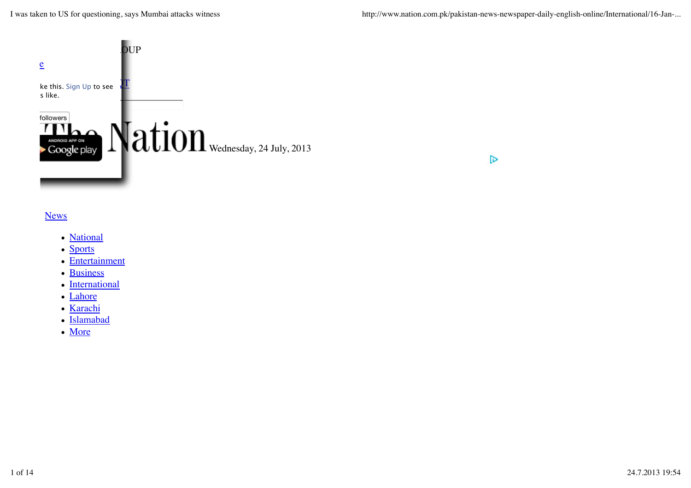I was taken to US for questioning, says Mumbai attacks witness http://www.nation.com.pk/pakistan-news-newspaper-daily-english-online/International/16-Jan-...

 $\triangleright$ 



#### **News**

- National
- Sports
- Entertainment
- Business
- International
- Lahore
- Karachi
- Islamabad
- More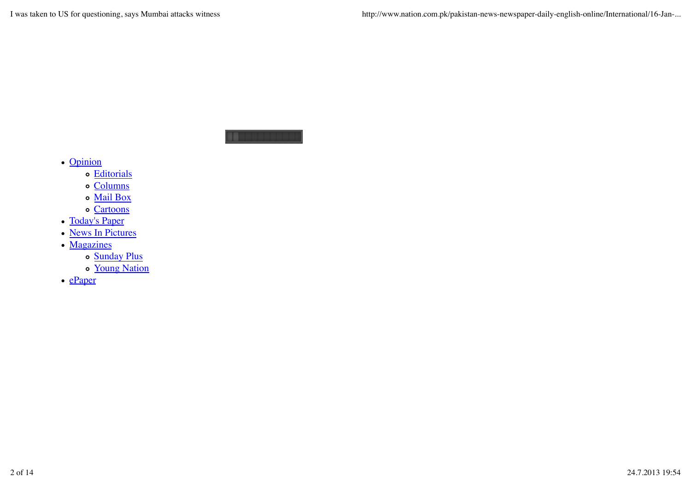. . . . . . .

- Opinion
	- Editorials
	- o Columns
	- Mail Box
	- o Cartoons
- Today's Paper
- News In Pictures
- Magazines
	- o Sunday Plus
	- o Young Nation
- $\cdot$  ePaper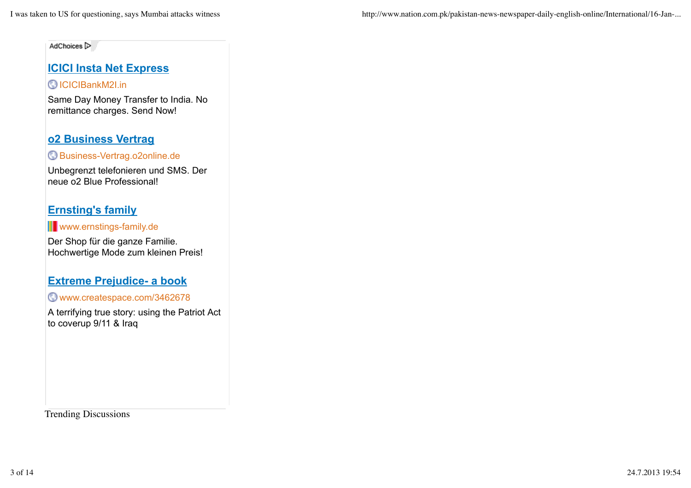AdChoices [>

# **ICICI Insta Net Express**

## ICICIBankM2I.in

Same Day Money Transfer to India. No remittance charges. Send Now!

# **o2 Business Vertrag**

## Business-Vertrag.o2online.de

Unbegrenzt telefonieren und SMS. Der neue o2 Blue Professional!

# **Ernsting's family**

**II** www.ernstings-family.de

Der Shop für die ganze Familie. Hochwertige Mode zum kleinen Preis!

## **Extreme Prejudice- a book**

www.createspace.com/3462678

A terrifying true story: using the Patriot Act to coverup 9/11 & Iraq

Trending Discussions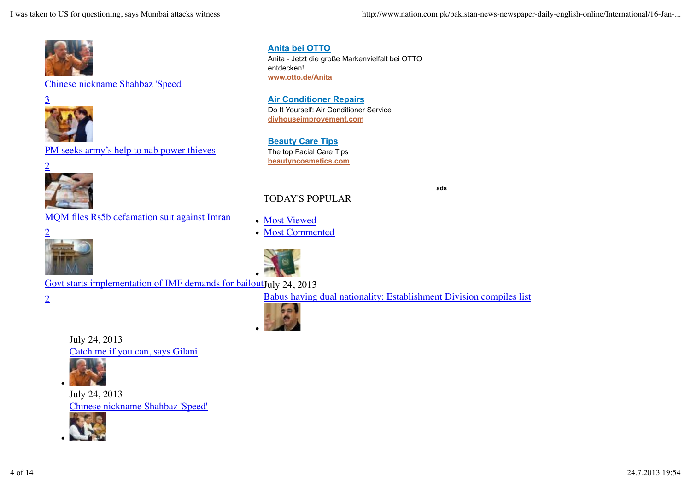I was taken to US for questioning, says Mumbai attacks witness http://www.nation.com.pk/pakistan-news-newspaper-daily-english-online/International/16-Jan-...



#### Chinese nickname Shahbaz 'Speed'



PM seeks army's help to nab power thieves



**Anita bei OTTO** Anita - Jetzt die große Markenvielfalt bei OTTO entdecken! **www.otto.de/Anita**

**Air Conditioner Repairs** Do It Yourself: Air Conditioner Service **diyhouseimprovement.com**

**Beauty Care Tips** The top Facial Care Tips **beautyncosmetics.com**

## TODAY'S POPULAR

MQM files Rs5b defamation suit against Imran



Most Commented

Most Viewed



Govt starts implementation of IMF demands for bailoutJuly 24, 2013

2

Babus having dual nationality: Establishment Division compiles list

**ads**



July 24, 2013 Catch me if you can, says Gilani



July 24, 2013 Chinese nickname Shahbaz 'Speed'

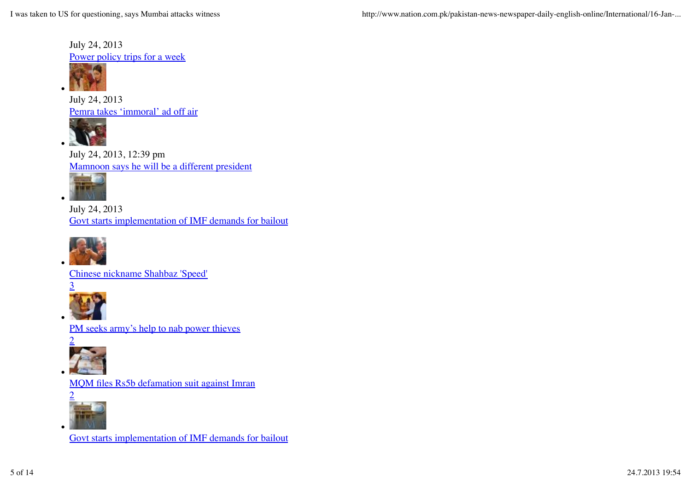July 24, 2013 Power policy trips for a week



July 24, 2013 Pemra takes 'immoral' ad off air



July 24, 2013, 12:39 pm Mamnoon says he will be a different president



July 24, 2013 Govt starts implementation of IMF demands for bailout



Chinese nickname Shahbaz 'Speed'



PM seeks army's help to nab power thieves



MQM files Rs5b defamation suit against Imran



Govt starts implementation of IMF demands for bailout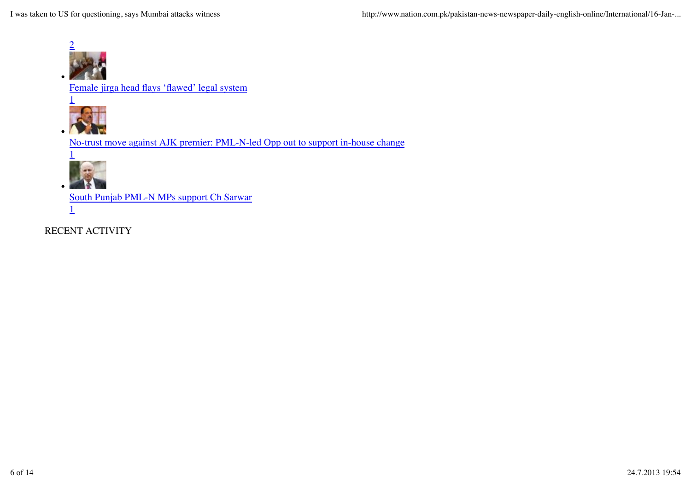

Female jirga head flays 'flawed' legal system



No-trust move against AJK premier: PML-N-led Opp out to support in-house change



South Punjab PML-N MPs support Ch Sarwar

1

RECENT ACTIVITY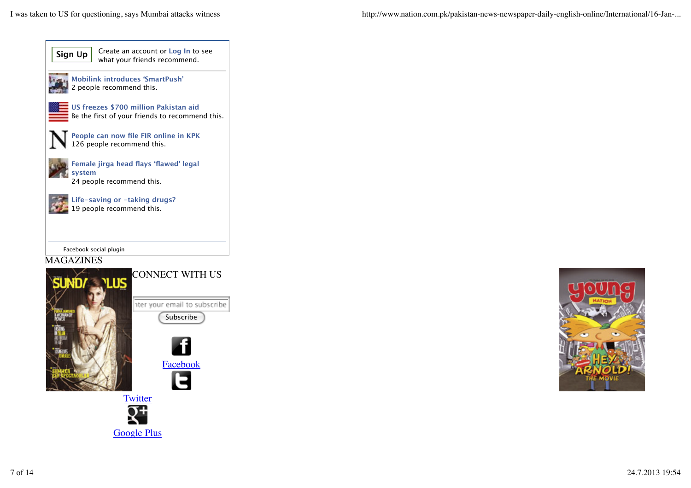I was taken to US for questioning, says Mumbai attacks witness http://www.nation.com.pk/pakistan-news-newspaper-daily-english-online/International/16-Jan-...







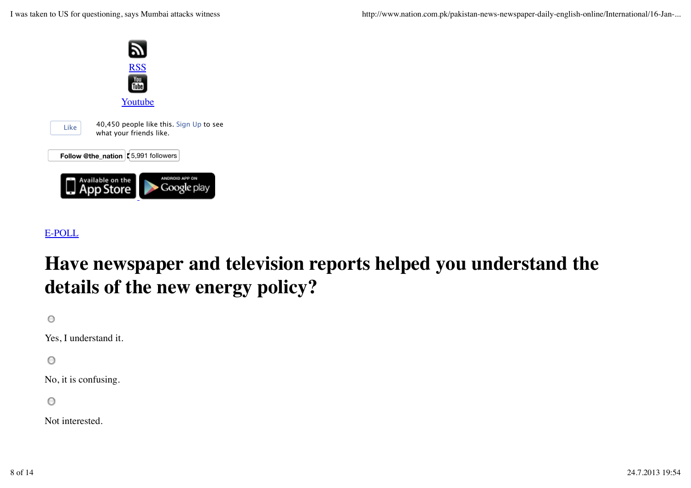

# E-POLL

# **Have newspaper and television reports helped you understand the details of the new energy policy?**

 $\circ$ 

Yes, I understand it.

 $\circ$ 

No, it is confusing.

 $\circ$ 

Not interested.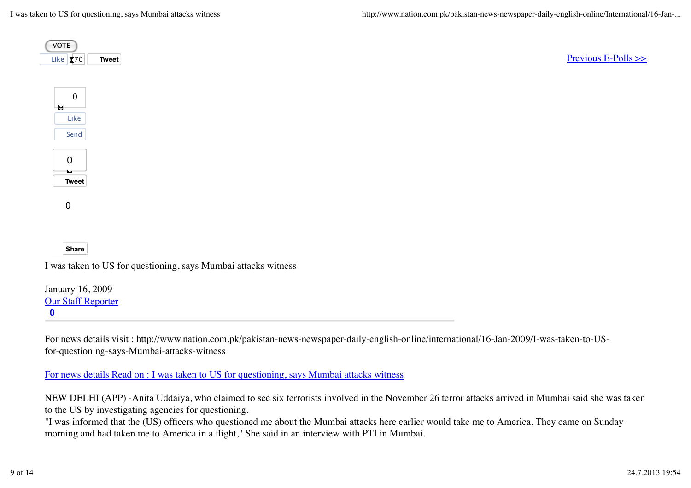| <b>VOTE</b><br>Like <b>270</b><br>Tweet | Previous E-Polls $\gg$ |
|-----------------------------------------|------------------------|
| $\overline{0}$                          |                        |
| $\mathbf{H}$<br>Like                    |                        |
| Send                                    |                        |
| 0                                       |                        |
| $\mathbf{M}$<br>Tweet                   |                        |
|                                         |                        |
| $\mathbf 0$                             |                        |
|                                         |                        |
| <b>Share</b>                            |                        |

**0** January 16, 2009 Our Staff Reporter

For news details visit : http://www.nation.com.pk/pakistan-news-newspaper-daily-english-online/international/16-Jan-2009/I-was-taken-to-USfor-questioning-says-Mumbai-attacks-witness

For news details Read on : I was taken to US for questioning, says Mumbai attacks witness

NEW DELHI (APP) -Anita Uddaiya, who claimed to see six terrorists involved in the November 26 terror attacks arrived in Mumbai said she was taken to the US by investigating agencies for questioning.

"I was informed that the (US) officers who questioned me about the Mumbai attacks here earlier would take me to America. They came on Sunday morning and had taken me to America in a flight," She said in an interview with PTI in Mumbai.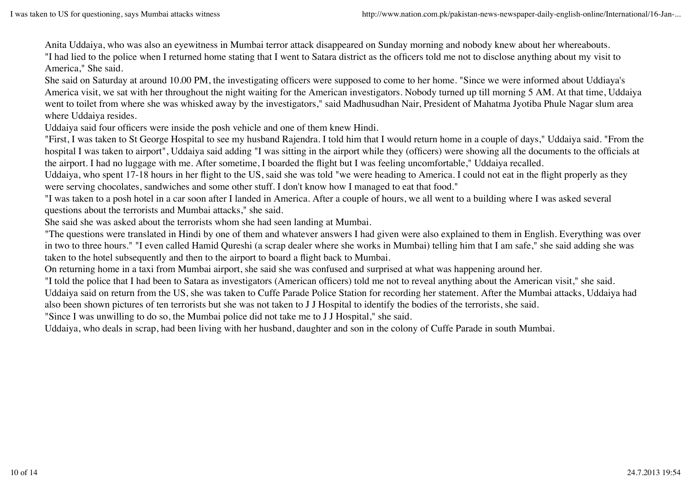Anita Uddaiya, who was also an eyewitness in Mumbai terror attack disappeared on Sunday morning and nobody knew about her whereabouts.

"I had lied to the police when I returned home stating that I went to Satara district as the officers told me not to disclose anything about my visit to America," She said.

She said on Saturday at around 10.00 PM, the investigating officers were supposed to come to her home. "Since we were informed about Uddiaya's America visit, we sat with her throughout the night waiting for the American investigators. Nobody turned up till morning 5 AM. At that time, Uddaiya went to toilet from where she was whisked away by the investigators," said Madhusudhan Nair, President of Mahatma Jyotiba Phule Nagar slum area where Uddaiya resides.

Uddaiya said four officers were inside the posh vehicle and one of them knew Hindi.

"First, I was taken to St George Hospital to see my husband Rajendra. I told him that I would return home in a couple of days," Uddaiya said. "From the hospital I was taken to airport", Uddaiya said adding "I was sitting in the airport while they (officers) were showing all the documents to the officials at the airport. I had no luggage with me. After sometime, I boarded the flight but I was feeling uncomfortable," Uddaiya recalled.

Uddaiya, who spent 17-18 hours in her flight to the US, said she was told "we were heading to America. I could not eat in the flight properly as they were serving chocolates, sandwiches and some other stuff. I don't know how I managed to eat that food."

"I was taken to a posh hotel in a car soon after I landed in America. After a couple of hours, we all went to a building where I was asked several questions about the terrorists and Mumbai attacks," she said.

She said she was asked about the terrorists whom she had seen landing at Mumbai.

"The questions were translated in Hindi by one of them and whatever answers I had given were also explained to them in English. Everything was over in two to three hours." "I even called Hamid Qureshi (a scrap dealer where she works in Mumbai) telling him that I am safe," she said adding she was taken to the hotel subsequently and then to the airport to board a flight back to Mumbai.

On returning home in a taxi from Mumbai airport, she said she was confused and surprised at what was happening around her.

"I told the police that I had been to Satara as investigators (American officers) told me not to reveal anything about the American visit," she said.

Uddaiya said on return from the US, she was taken to Cuffe Parade Police Station for recording her statement. After the Mumbai attacks, Uddaiya had also been shown pictures of ten terrorists but she was not taken to J J Hospital to identify the bodies of the terrorists, she said.

"Since I was unwilling to do so, the Mumbai police did not take me to J J Hospital," she said.

Uddaiya, who deals in scrap, had been living with her husband, daughter and son in the colony of Cuffe Parade in south Mumbai.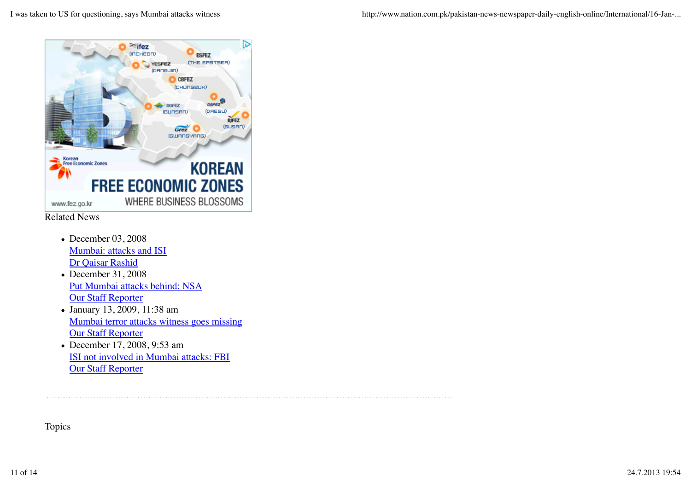

- Related News
	- December 03, 2008 Mumbai: attacks and ISI Dr Qaisar Rashid
	- December 31, 2008 Put Mumbai attacks behind: NSA **Our Staff Reporter**
	- January 13, 2009, 11:38 am Mumbai terror attacks witness goes missing **Our Staff Reporter**
	- December 17, 2008, 9:53 am ISI not involved in Mumbai attacks: FBI Our Staff Reporter

Topics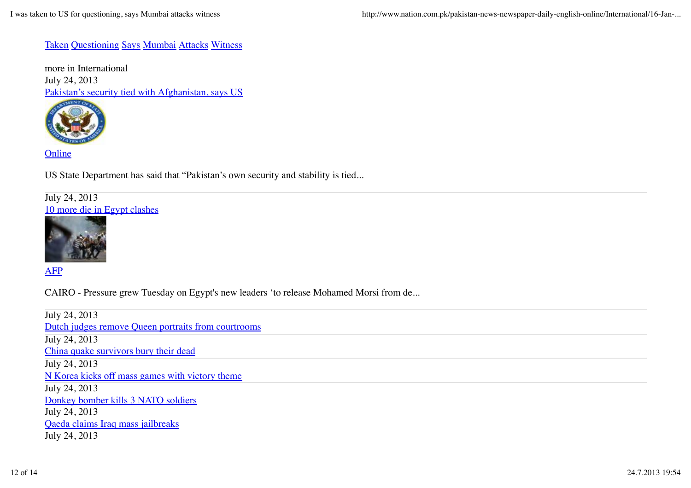#### Taken Questioning Says Mumbai Attacks Witness

more in International July 24, 2013 Pakistan's security tied with Afghanistan, says US



**Online** 

US State Department has said that "Pakistan's own security and stability is tied...

#### July 24, 2013 10 more die in Egypt clashes



AFP

CAIRO - Pressure grew Tuesday on Egypt's new leaders 'to release Mohamed Morsi from de...

July 24, 2013 Dutch judges remove Queen portraits from courtrooms July 24, 2013 China quake survivors bury their dead July 24, 2013 N Korea kicks off mass games with victory theme July 24, 2013 Donkey bomber kills 3 NATO soldiers July 24, 2013 Qaeda claims Iraq mass jailbreaks July 24, 2013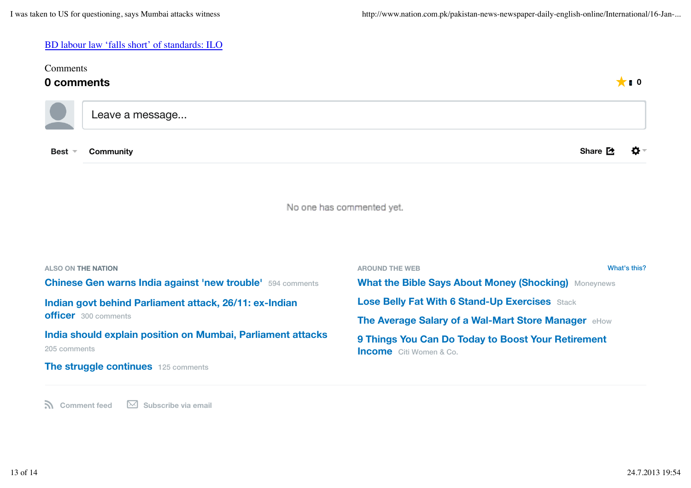#### BD labour law 'falls short' of standards: ILO

| Comments<br>0 comments<br>$\bigstar$ 10                                                        |                                                                                                      |  |
|------------------------------------------------------------------------------------------------|------------------------------------------------------------------------------------------------------|--|
| Leave a message                                                                                |                                                                                                      |  |
| <b>Community</b><br><b>Best</b>                                                                | Share [全<br>o-                                                                                       |  |
|                                                                                                | No one has commented yet.                                                                            |  |
| <b>ALSO ON THE NATION</b><br><b>Chinese Gen warns India against 'new trouble'</b> 594 comments | What's this?<br><b>AROUND THE WEB</b><br><b>What the Bible Says About Money (Shocking) Moneynews</b> |  |
| Indian govt behind Parliament attack, 26/11: ex-Indian<br><b>officer</b> 300 comments          | <b>Lose Belly Fat With 6 Stand-Up Exercises Stack</b>                                                |  |
|                                                                                                | The Average Salary of a Wal-Mart Store Manager eHow                                                  |  |
| India should explain position on Mumbai, Parliament attacks<br>205 comments                    | 9 Things You Can Do Today to Boost Your Retirement<br><b>Income</b> Citi Women & Co.                 |  |
| The struggle continues 125 comments                                                            |                                                                                                      |  |

**R** Comment feed  $\boxtimes$  Subscribe via email